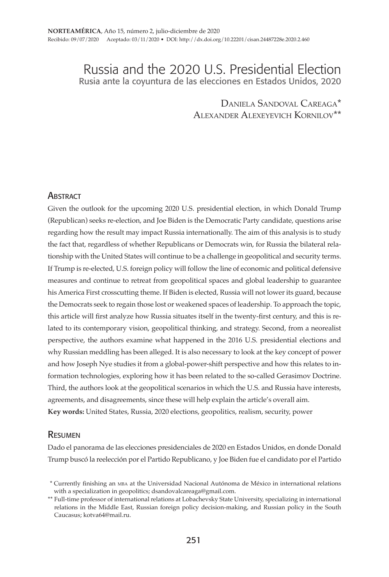# Russia and the 2020 U.S. Presidential Election Rusia ante la coyuntura de las elecciones en Estados Unidos, 2020

Daniela Sandoval Careaga\* Alexander Alexeyevich Kornilov\*\*

#### **ABSTRACT**

Given the outlook for the upcoming 2020 U.S. presidential election, in which Donald Trump (Republican) seeks re-election, and Joe Biden is the Democratic Party candidate, questions arise regarding how the result may impact Russia internationally. The aim of this analysis is to study the fact that, regardless of whether Republicans or Democrats win, for Russia the bilateral relationship with the United States will continue to be a challenge in geopolitical and security terms. If Trump is re-elected, U.S. foreign policy will follow the line of economic and political defensive measures and continue to retreat from geopolitical spaces and global leadership to guarantee his America First crosscutting theme. If Biden is elected, Russia will not lower its guard, because the Democrats seek to regain those lost or weakened spaces of leadership. To approach the topic, this article will first analyze how Russia situates itself in the twenty-first century, and this is related to its contemporary vision, geopolitical thinking, and strategy. Second, from a neorealist perspective, the authors examine what happened in the 2016 U.S. presidential elections and why Russian meddling has been alleged. It is also necessary to look at the key concept of power and how Joseph Nye studies it from a global-power-shift perspective and how this relates to information technologies, exploring how it has been related to the so-called Gerasimov Doctrine. Third, the authors look at the geopolitical scenarios in which the U.S. and Russia have interests, agreements, and disagreements, since these will help explain the article's overall aim. **Key words:** United States, Russia, 2020 elections, geopolitics, realism, security, power

#### Resumen

Dado el panorama de las elecciones presidenciales de 2020 en Estados Unidos, en donde Donald Trump buscó la reelección por el Partido Republicano, y Joe Biden fue el candidato por el Partido

 <sup>\*</sup> Currently finishing an mba at the Universidad Nacional Autónoma de México in international relations with a specialization in geopolitics; dsandovalcareaga@gmail.com.

<sup>\*\*</sup> Full-time professor of international relations at Lobachevsky State University, specializing in international relations in the Middle East, Russian foreign policy decision-making, and Russian policy in the South Caucasus; kotva64@mail.ru.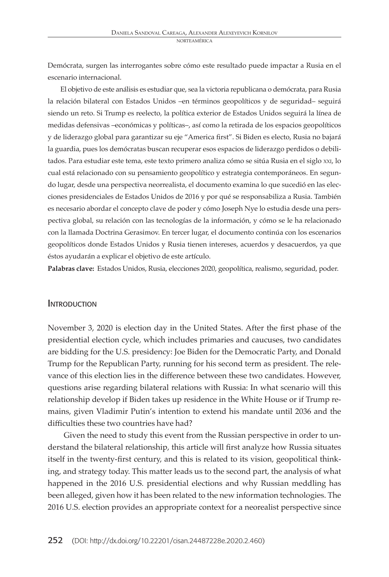Demócrata, surgen las interrogantes sobre cómo este resultado puede impactar a Rusia en el escenario internacional.

El objetivo de este análisis es estudiar que, sea la victoria republicana o demócrata, para Rusia la relación bilateral con Estados Unidos –en términos geopolíticos y de seguridad– seguirá siendo un reto. Si Trump es reelecto, la política exterior de Estados Unidos seguirá la línea de medidas defensivas –económicas y políticas–, así como la retirada de los espacios geopolíticos y de liderazgo global para garantizar su eje "America first". Si Biden es electo, Rusia no bajará la guardia, pues los demócratas buscan recuperar esos espacios de liderazgo perdidos o debilitados. Para estudiar este tema, este texto primero analiza cómo se sitúa Rusia en el siglo xxi, lo cual está relacionado con su pensamiento geopolítico y estrategia contemporáneos. En segundo lugar, desde una perspectiva neorrealista, el documento examina lo que sucedió en las elecciones presidenciales de Estados Unidos de 2016 y por qué se responsabiliza a Rusia. También es necesario abordar el concepto clave de poder y cómo Joseph Nye lo estudia desde una perspectiva global, su relación con las tecnologías de la información, y cómo se le ha relacionado con la llamada Doctrina Gerasimov. En tercer lugar, el documento continúa con los escenarios geopolíticos donde Estados Unidos y Rusia tienen intereses, acuerdos y desacuerdos, ya que éstos ayudarán a explicar el objetivo de este artículo.

**Palabras clave:** Estados Unidos, Rusia, elecciones 2020, geopolítica, realismo, seguridad, poder.

#### **INTRODUCTION**

November 3, 2020 is election day in the United States. After the first phase of the presidential election cycle, which includes primaries and caucuses, two candidates are bidding for the U.S. presidency: Joe Biden for the Democratic Party, and Donald Trump for the Republican Party, running for his second term as president. The relevance of this election lies in the difference between these two candidates. However, questions arise regarding bilateral relations with Russia: In what scenario will this relationship develop if Biden takes up residence in the White House or if Trump remains, given Vladimir Putin's intention to extend his mandate until 2036 and the difficulties these two countries have had?

Given the need to study this event from the Russian perspective in order to understand the bilateral relationship, this article will first analyze how Russia situates itself in the twenty-first century, and this is related to its vision, geopolitical thinking, and strategy today. This matter leads us to the second part, the analysis of what happened in the 2016 U.S. presidential elections and why Russian meddling has been alleged, given how it has been related to the new information technologies. The 2016 U.S. election provides an appropriate context for a neorealist perspective since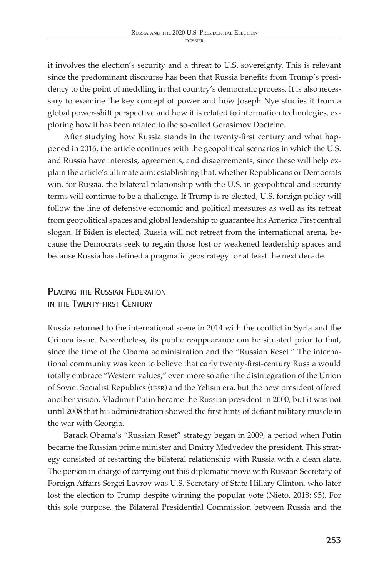it involves the election's security and a threat to U.S. sovereignty. This is relevant since the predominant discourse has been that Russia benefits from Trump's presidency to the point of meddling in that country's democratic process. It is also necessary to examine the key concept of power and how Joseph Nye studies it from a global power-shift perspective and how it is related to information technologies, exploring how it has been related to the so-called Gerasimov Doctrine.

After studying how Russia stands in the twenty-first century and what happened in 2016, the article continues with the geopolitical scenarios in which the U.S. and Russia have interests, agreements, and disagreements, since these will help explain the article's ultimate aim: establishing that, whether Republicans or Democrats win, for Russia, the bilateral relationship with the U.S. in geopolitical and security terms will continue to be a challenge. If Trump is re-elected, U.S. foreign policy will follow the line of defensive economic and political measures as well as its retreat from geopolitical spaces and global leadership to guarantee his America First central slogan. If Biden is elected, Russia will not retreat from the international arena, because the Democrats seek to regain those lost or weakened leadership spaces and because Russia has defined a pragmatic geostrategy for at least the next decade.

# PLACING THE RUSSIAN FEDERATION IN THE TWENTY-FIRST CENTURY

Russia returned to the international scene in 2014 with the conflict in Syria and the Crimea issue. Nevertheless, its public reappearance can be situated prior to that, since the time of the Obama administration and the "Russian Reset." The international community was keen to believe that early twenty-first-century Russia would totally embrace "Western values," even more so after the disintegration of the Union of Soviet Socialist Republics (ussr) and the Yeltsin era, but the new president offered another vision. Vladimir Putin became the Russian president in 2000, but it was not until 2008 that his administration showed the first hints of defiant military muscle in the war with Georgia.

Barack Obama's "Russian Reset" strategy began in 2009, a period when Putin became the Russian prime minister and Dmitry Medvedev the president. This strategy consisted of restarting the bilateral relationship with Russia with a clean slate. The person in charge of carrying out this diplomatic move with Russian Secretary of Foreign Affairs Sergei Lavrov was U.S. Secretary of State Hillary Clinton, who later lost the election to Trump despite winning the popular vote (Nieto, 2018: 95). For this sole purpose, the Bilateral Presidential Commission between Russia and the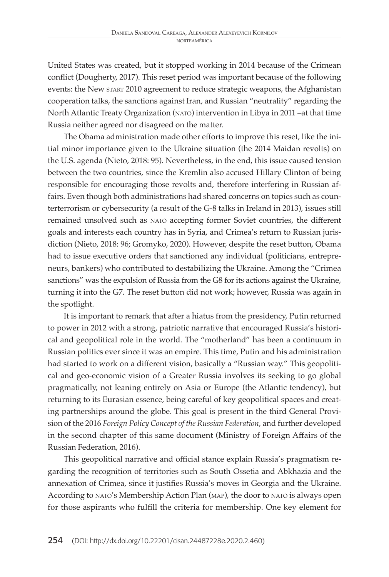United States was created, but it stopped working in 2014 because of the Crimean conflict (Dougherty, 2017). This reset period was important because of the following events: the New start 2010 agreement to reduce strategic weapons, the Afghanistan cooperation talks, the sanctions against Iran, and Russian "neutrality" regarding the North Atlantic Treaty Organization (nato) intervention in Libya in 2011 –at that time Russia neither agreed nor disagreed on the matter.

The Obama administration made other efforts to improve this reset, like the initial minor importance given to the Ukraine situation (the 2014 Maidan revolts) on the U.S. agenda (Nieto, 2018: 95). Nevertheless, in the end, this issue caused tension between the two countries, since the Kremlin also accused Hillary Clinton of being responsible for encouraging those revolts and, therefore interfering in Russian affairs. Even though both administrations had shared concerns on topics such as counterterrorism or cybersecurity (a result of the G-8 talks in Ireland in 2013), issues still remained unsolved such as nato accepting former Soviet countries, the different goals and interests each country has in Syria, and Crimea's return to Russian jurisdiction (Nieto, 2018: 96; Gromyko, 2020). However, despite the reset button, Obama had to issue executive orders that sanctioned any individual (politicians, entrepreneurs, bankers) who contributed to destabilizing the Ukraine. Among the "Crimea sanctions" was the expulsion of Russia from the G8 for its actions against the Ukraine, turning it into the G7. The reset button did not work; however, Russia was again in the spotlight.

It is important to remark that after a hiatus from the presidency, Putin returned to power in 2012 with a strong, patriotic narrative that encouraged Russia's historical and geopolitical role in the world. The "motherland" has been a continuum in Russian politics ever since it was an empire. This time, Putin and his administration had started to work on a different vision, basically a "Russian way." This geopolitical and geo-economic vision of a Greater Russia involves its seeking to go global pragmatically, not leaning entirely on Asia or Europe (the Atlantic tendency), but returning to its Eurasian essence, being careful of key geopolitical spaces and creating partnerships around the globe. This goal is present in the third General Provision of the 2016 *Foreign Policy Concept of the Russian Federation*, and further developed in the second chapter of this same document (Ministry of Foreign Affairs of the Russian Federation, 2016).

This geopolitical narrative and official stance explain Russia's pragmatism regarding the recognition of territories such as South Ossetia and Abkhazia and the annexation of Crimea, since it justifies Russia's moves in Georgia and the Ukraine. According to NATO's Membership Action Plan (MAP), the door to NATO is always open for those aspirants who fulfill the criteria for membership. One key element for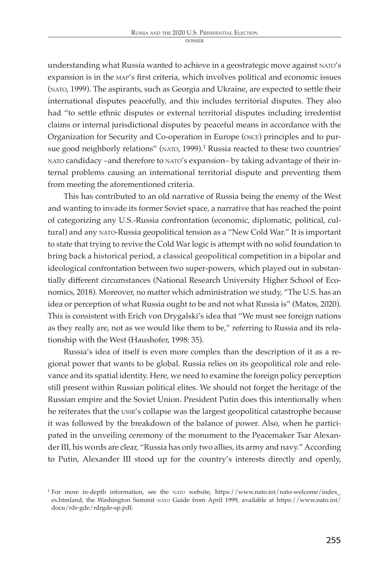understanding what Russia wanted to achieve in a geostrategic move against nato's expansion is in the map's first criteria, which involves political and economic issues (nato, 1999). The aspirants, such as Georgia and Ukraine, are expected to settle their international disputes peacefully, and this includes territorial disputes. They also had "to settle ethnic disputes or external territorial disputes including irredentist claims or internal jurisdictional disputes by peaceful means in accordance with the Organization for Security and Co-operation in Europe (osce) principles and to pursue good neighborly relations" (NATO, 1999).<sup>1</sup> Russia reacted to these two countries' nato candidacy –and therefore to nato's expansion– by taking advantage of their internal problems causing an international territorial dispute and preventing them from meeting the aforementioned criteria.

This has contributed to an old narrative of Russia being the enemy of the West and wanting to invade its former Soviet space, a narrative that has reached the point of categorizing any U.S.-Russia confrontation (economic, diplomatic, political, cultural) and any nato-Russia geopolitical tension as a "New Cold War." It is important to state that trying to revive the Cold War logic is attempt with no solid foundation to bring back a historical period, a classical geopolitical competition in a bipolar and ideological confrontation between two super-powers, which played out in substantially different circumstances (National Research University Higher School of Economics, 2018). Moreover, no matter which administration we study, "The U.S. has an idea or perception of what Russia ought to be and not what Russia is" (Matos, 2020). This is consistent with Erich von Drygalski's idea that "We must see foreign nations as they really are, not as we would like them to be," referring to Russia and its relationship with the West (Haushofer, 1998: 35).

Russia's idea of itself is even more complex than the description of it as a regional power that wants to be global. Russia relies on its geopolitical role and relevance and its spatial identity. Here, we need to examine the foreign policy perception still present within Russian political elites. We should not forget the heritage of the Russian empire and the Soviet Union. President Putin does this intentionally when he reiterates that the ussr's collapse was the largest geopolitical catastrophe because it was followed by the breakdown of the balance of power. Also, when he participated in the unveiling ceremony of the monument to the Peacemaker Tsar Alexander III, his words are clear, "Russia has only two allies, its army and navy." According to Putin, Alexander III stood up for the country's interests directly and openly,

<sup>&</sup>lt;sup>1</sup> For more in-depth information, see the NATO website, https://www.nato.int/nato-welcome/index\_ es.htmland, the Washington Summit nato Guide from April 1999, available at https://www.nato.int/ docu/rdr-gde/rdrgde-sp.pdf.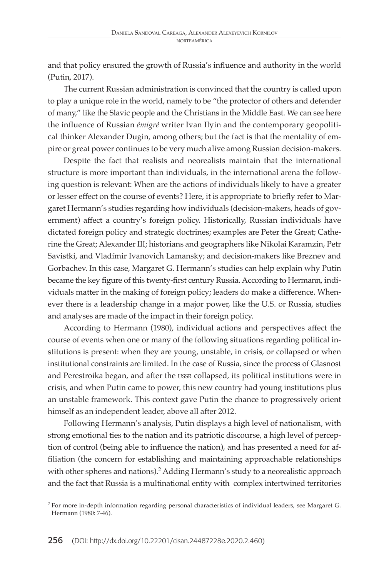and that policy ensured the growth of Russia's influence and authority in the world (Putin, 2017).

The current Russian administration is convinced that the country is called upon to play a unique role in the world, namely to be "the protector of others and defender of many," like the Slavic people and the Christians in the Middle East. We can see here the influence of Russian *émigré* writer Ivan Ilyin and the contemporary geopolitical thinker Alexander Dugin, among others; but the fact is that the mentality of empire or great power continues to be very much alive among Russian decision-makers.

Despite the fact that realists and neorealists maintain that the international structure is more important than individuals, in the international arena the following question is relevant: When are the actions of individuals likely to have a greater or lesser effect on the course of events? Here, it is appropriate to briefly refer to Margaret Hermann's studies regarding how individuals (decision-makers, heads of government) affect a country's foreign policy. Historically, Russian individuals have dictated foreign policy and strategic doctrines; examples are Peter the Great; Catherine the Great; Alexander III; historians and geographers like Nikolai Karamzin, Petr Savistki, and Vladímir Ivanovich Lamansky; and decision-makers like Breznev and Gorbachev. In this case, Margaret G. Hermann's studies can help explain why Putin became the key figure of this twenty-first century Russia. According to Hermann, individuals matter in the making of foreign policy; leaders do make a difference. Whenever there is a leadership change in a major power, like the U.S. or Russia, studies and analyses are made of the impact in their foreign policy.

According to Hermann (1980), individual actions and perspectives affect the course of events when one or many of the following situations regarding political institutions is present: when they are young, unstable, in crisis, or collapsed or when institutional constraints are limited. In the case of Russia, since the process of Glasnost and Perestroika began, and after the ussr collapsed, its political institutions were in crisis, and when Putin came to power, this new country had young institutions plus an unstable framework. This context gave Putin the chance to progressively orient himself as an independent leader, above all after 2012.

Following Hermann's analysis, Putin displays a high level of nationalism, with strong emotional ties to the nation and its patriotic discourse, a high level of perception of control (being able to influence the nation), and has presented a need for affiliation (the concern for establishing and maintaining approachable relationships with other spheres and nations).<sup>2</sup> Adding Hermann's study to a neorealistic approach and the fact that Russia is a multinational entity with complex intertwined territories

<sup>2</sup> For more in-depth information regarding personal characteristics of individual leaders, see Margaret G. Hermann (1980: 7-46).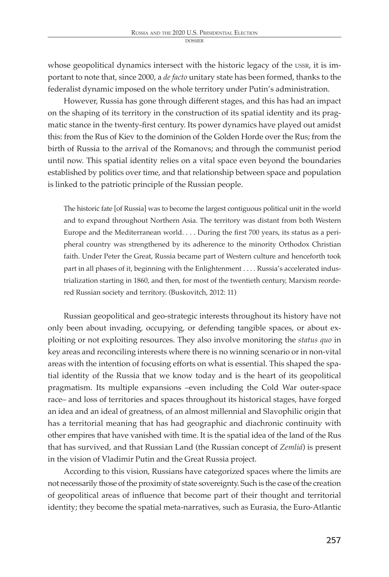whose geopolitical dynamics intersect with the historic legacy of the ussr, it is important to note that, since 2000, a *de facto* unitary state has been formed, thanks to the federalist dynamic imposed on the whole territory under Putin's administration.

However, Russia has gone through different stages, and this has had an impact on the shaping of its territory in the construction of its spatial identity and its pragmatic stance in the twenty-first century. Its power dynamics have played out amidst this: from the Rus of Kiev to the dominion of the Golden Horde over the Rus; from the birth of Russia to the arrival of the Romanovs; and through the communist period until now. This spatial identity relies on a vital space even beyond the boundaries established by politics over time, and that relationship between space and population is linked to the patriotic principle of the Russian people.

The historic fate [of Russia] was to become the largest contiguous political unit in the world and to expand throughout Northern Asia. The territory was distant from both Western Europe and the Mediterranean world. . . . During the first 700 years, its status as a peripheral country was strengthened by its adherence to the minority Orthodox Christian faith. Under Peter the Great, Russia became part of Western culture and henceforth took part in all phases of it, beginning with the Enlightenment . . . . Russia's accelerated industrialization starting in 1860, and then, for most of the twentieth century, Marxism reordered Russian society and territory. (Buskovitch, 2012: 11)

Russian geopolitical and geo-strategic interests throughout its history have not only been about invading, occupying, or defending tangible spaces, or about exploiting or not exploiting resources. They also involve monitoring the *status quo* in key areas and reconciling interests where there is no winning scenario or in non-vital areas with the intention of focusing efforts on what is essential. This shaped the spatial identity of the Russia that we know today and is the heart of its geopolitical pragmatism. Its multiple expansions –even including the Cold War outer-space race– and loss of territories and spaces throughout its historical stages, have forged an idea and an ideal of greatness, of an almost millennial and Slavophilic origin that has a territorial meaning that has had geographic and diachronic continuity with other empires that have vanished with time. It is the spatial idea of the land of the Rus that has survived, and that Russian Land (the Russian concept of *Zemliá*) is present in the vision of Vladimir Putin and the Great Russia project.

According to this vision, Russians have categorized spaces where the limits are not necessarily those of the proximity of state sovereignty. Such is the case of the creation of geopolitical areas of influence that become part of their thought and territorial identity; they become the spatial meta-narratives, such as Eurasia, the Euro-Atlantic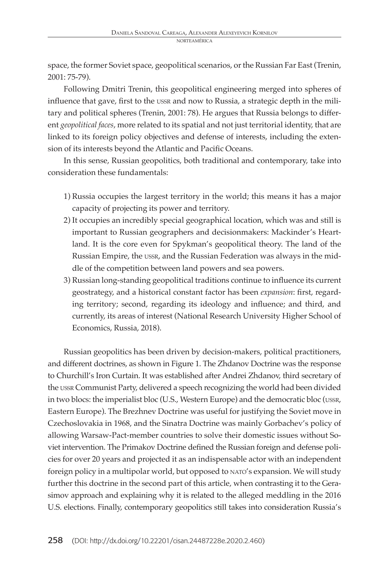space, the former Soviet space, geopolitical scenarios, or the Russian Far East (Trenin, 2001: 75-79).

Following Dmitri Trenin, this geopolitical engineering merged into spheres of influence that gave, first to the ussr and now to Russia, a strategic depth in the military and political spheres (Trenin, 2001: 78). He argues that Russia belongs to different *geopolitical faces*, more related to its spatial and not just territorial identity, that are linked to its foreign policy objectives and defense of interests, including the extension of its interests beyond the Atlantic and Pacific Oceans.

In this sense, Russian geopolitics, both traditional and contemporary, take into consideration these fundamentals:

- 1) Russia occupies the largest territory in the world; this means it has a major capacity of projecting its power and territory.
- 2) It occupies an incredibly special geographical location, which was and still is important to Russian geographers and decisionmakers: Mackinder's Heartland. It is the core even for Spykman's geopolitical theory. The land of the Russian Empire, the ussr, and the Russian Federation was always in the middle of the competition between land powers and sea powers.
- 3) Russian long-standing geopolitical traditions continue to influence its current geostrategy, and a historical constant factor has been *expansion*: first, regarding territory; second, regarding its ideology and influence; and third, and currently, its areas of interest (National Research University Higher School of Economics, Russia, 2018).

Russian geopolitics has been driven by decision-makers, political practitioners, and different doctrines, as shown in Figure 1. The Zhdanov Doctrine was the response to Churchill's Iron Curtain. It was established after Andrei Zhdanov, third secretary of the ussr Communist Party, delivered a speech recognizing the world had been divided in two blocs: the imperialist bloc (U.S., Western Europe) and the democratic bloc (ussr, Eastern Europe). The Brezhnev Doctrine was useful for justifying the Soviet move in Czechoslovakia in 1968, and the Sinatra Doctrine was mainly Gorbachev's policy of allowing Warsaw-Pact-member countries to solve their domestic issues without Soviet intervention. The Primakov Doctrine defined the Russian foreign and defense policies for over 20 years and projected it as an indispensable actor with an independent foreign policy in a multipolar world, but opposed to nato's expansion. We will study further this doctrine in the second part of this article, when contrasting it to the Gerasimov approach and explaining why it is related to the alleged meddling in the 2016 U.S. elections. Finally, contemporary geopolitics still takes into consideration Russia's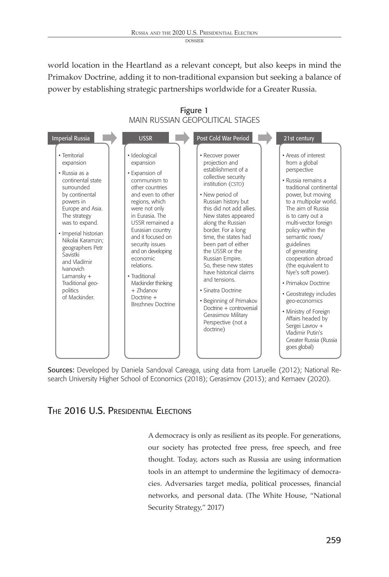**DOSSIER** 

world location in the Heartland as a relevant concept, but also keeps in mind the Primakov Doctrine, adding it to non-traditional expansion but seeking a balance of power by establishing strategic partnerships worldwide for a Greater Russia.

| <b>Imperial Russia</b>                                                                                                                                                                                                                                                                                                                             | <b>USSR</b>                                                                                                                                                                                                                                                                                                                                                                                  | Post Cold War Period                                                                                                                                                                                                                                                                                                                                                                                                                                                                                                                      | 21st century                                                                                                                                                                                                                                                                                                                                                                                                                                                                                                                                                   |
|----------------------------------------------------------------------------------------------------------------------------------------------------------------------------------------------------------------------------------------------------------------------------------------------------------------------------------------------------|----------------------------------------------------------------------------------------------------------------------------------------------------------------------------------------------------------------------------------------------------------------------------------------------------------------------------------------------------------------------------------------------|-------------------------------------------------------------------------------------------------------------------------------------------------------------------------------------------------------------------------------------------------------------------------------------------------------------------------------------------------------------------------------------------------------------------------------------------------------------------------------------------------------------------------------------------|----------------------------------------------------------------------------------------------------------------------------------------------------------------------------------------------------------------------------------------------------------------------------------------------------------------------------------------------------------------------------------------------------------------------------------------------------------------------------------------------------------------------------------------------------------------|
| · Territorial<br>expansion<br>• Russia as a<br>continental state<br>surrounded<br>by continental<br>powers in<br>Europe and Asia.<br>The strategy<br>was to expand.<br>• Imperial historian<br>Nikolai Karamzin:<br>geographers Petr<br>Savistki<br>and Vladímir<br><b>Ivanovich</b><br>Lamansky +<br>Traditional geo-<br>politics<br>of Mackinder | · Ideological<br>expansion<br>• Expansion of<br>communism to<br>other countries<br>and even to other<br>regions, which<br>were not only<br>in Furasia. The<br>USSR remained a<br>Eurasian country<br>and it focused on<br>security issues<br>and on developing<br>economic<br>relations.<br>• Traditional<br>Mackinder thinking<br>$+$ 7 $hd$ anov<br>Doctrine +<br><b>Brezhnev Doctrine</b> | • Recover power<br>projection and<br>establishment of a<br>collective security<br>institution (CSTO)<br>• New period of<br>Russian history but<br>this did not add allies<br>New states appeared<br>along the Russian<br>border. For a long<br>time, the states had<br>been part of either<br>the USSR or the<br>Russian Empire.<br>So, these new states<br>have historical claims<br>and tensions.<br>• Sinatra Doctrine<br>• Beginning of Primakov<br>Doctrine + controversial<br>Gerasimov Military<br>Perspective (not a<br>doctrine) | • Areas of interest<br>from a global<br>perspective<br>· Russia remains a<br>traditional continental<br>power, but moving<br>to a multipolar world.<br>The aim of Russia<br>is to carry out a<br>multi-vector foreign<br>policy within the<br>semantic rows/<br>guidelines<br>of generating<br>cooperation abroad<br>(the equivalent to<br>Nye's soft power).<br>· Primakov Doctrine<br>• Geostrategy includes<br>geo-economics<br>• Ministry of Foreign<br>Affairs headed by<br>Sergei Lavrov +<br>Vladimir Putin's<br>Greater Russia (Russia<br>goes global) |

Figure 1 MAIN RUSSIAN GEOPOLITICAL STAGES

Sources: Developed by Daniela Sandoval Careaga, using data from Laruelle (2012); National Research University Higher School of Economics (2018); Gerasimov (2013); and Kemaev (2020).

# THE 2016 U.S. PRESIDENTIAL ELECTIONS

A democracy is only as resilient as its people. For generations, our society has protected free press, free speech, and free thought. Today, actors such as Russia are using information tools in an attempt to undermine the legitimacy of democracies. Adversaries target media, political processes, financial networks, and personal data. (The White House, "National Security Strategy," 2017)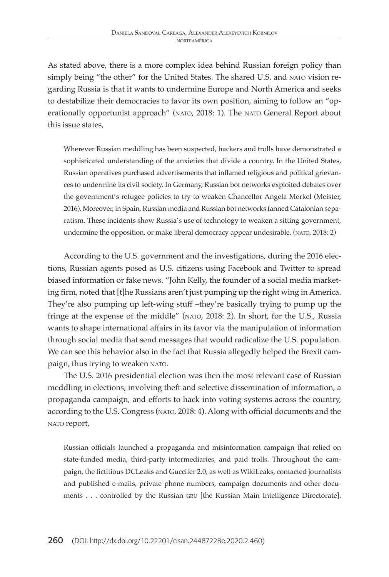As stated above, there is a more complex idea behind Russian foreign policy than simply being "the other" for the United States. The shared U.S. and NATO vision regarding Russia is that it wants to undermine Europe and North America and seeks to destabilize their democracies to favor its own position, aiming to follow an "operationally opportunist approach" (nato, 2018: 1). The nato General Report about this issue states,

Wherever Russian meddling has been suspected, hackers and trolls have demonstrated a sophisticated understanding of the anxieties that divide a country. In the United States, Russian operatives purchased advertisements that inflamed religious and political grievances to undermine its civil society. In Germany, Russian bot networks exploited debates over the government's refugee policies to try to weaken Chancellor Angela Merkel (Meister, 2016). Moreover, in Spain, Russian media and Russian bot networks fanned Catalonian separatism. These incidents show Russia's use of technology to weaken a sitting government, undermine the opposition, or make liberal democracy appear undesirable. (nato, 2018: 2)

According to the U.S. government and the investigations, during the 2016 elections, Russian agents posed as U.S. citizens using Facebook and Twitter to spread biased information or fake news. "John Kelly, the founder of a social media marketing firm, noted that [t]he Russians aren't just pumping up the right wing in America. They're also pumping up left-wing stuff –they're basically trying to pump up the fringe at the expense of the middle" (nato, 2018: 2). In short, for the U.S., Russia wants to shape international affairs in its favor via the manipulation of information through social media that send messages that would radicalize the U.S. population. We can see this behavior also in the fact that Russia allegedly helped the Brexit campaign, thus trying to weaken NATO.

The U.S. 2016 presidential election was then the most relevant case of Russian meddling in elections, involving theft and selective dissemination of information, a propaganda campaign, and efforts to hack into voting systems across the country, according to the U.S. Congress (nato, 2018: 4). Along with official documents and the NATO report,

Russian officials launched a propaganda and misinformation campaign that relied on state-funded media, third-party intermediaries, and paid trolls. Throughout the campaign, the fictitious DCLeaks and Guccifer 2.0, as well as WikiLeaks, contacted journalists and published e-mails, private phone numbers, campaign documents and other documents . . . controlled by the Russian GRU [the Russian Main Intelligence Directorate].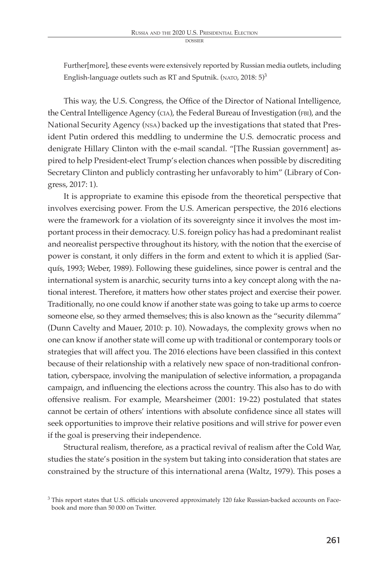dossie

Further[more], these events were extensively reported by Russian media outlets, including English-language outlets such as RT and Sputnik. (NATO,  $2018:5$ )<sup>3</sup>

This way, the U.S. Congress, the Office of the Director of National Intelligence, the Central Intelligence Agency (CIA), the Federal Bureau of Investigation (FBI), and the National Security Agency (nsa) backed up the investigations that stated that President Putin ordered this meddling to undermine the U.S. democratic process and denigrate Hillary Clinton with the e-mail scandal. "[The Russian government] aspired to help President-elect Trump's election chances when possible by discrediting Secretary Clinton and publicly contrasting her unfavorably to him" (Library of Congress, 2017: 1).

It is appropriate to examine this episode from the theoretical perspective that involves exercising power. From the U.S. American perspective, the 2016 elections were the framework for a violation of its sovereignty since it involves the most important process in their democracy. U.S. foreign policy has had a predominant realist and neorealist perspective throughout its history, with the notion that the exercise of power is constant, it only differs in the form and extent to which it is applied (Sarquís, 1993; Weber, 1989). Following these guidelines, since power is central and the international system is anarchic, security turns into a key concept along with the national interest. Therefore, it matters how other states project and exercise their power. Traditionally, no one could know if another state was going to take up arms to coerce someone else, so they armed themselves; this is also known as the "security dilemma" (Dunn Cavelty and Mauer, 2010: p. 10). Nowadays, the complexity grows when no one can know if another state will come up with traditional or contemporary tools or strategies that will affect you. The 2016 elections have been classified in this context because of their relationship with a relatively new space of non-traditional confrontation, cyberspace, involving the manipulation of selective information, a propaganda campaign, and influencing the elections across the country. This also has to do with offensive realism. For example, Mearsheimer (2001: 19-22) postulated that states cannot be certain of others' intentions with absolute confidence since all states will seek opportunities to improve their relative positions and will strive for power even if the goal is preserving their independence.

Structural realism, therefore, as a practical revival of realism after the Cold War, studies the state's position in the system but taking into consideration that states are constrained by the structure of this international arena (Waltz, 1979). This poses a

<sup>&</sup>lt;sup>3</sup> This report states that U.S. officials uncovered approximately 120 fake Russian-backed accounts on Facebook and more than 50 000 on Twitter.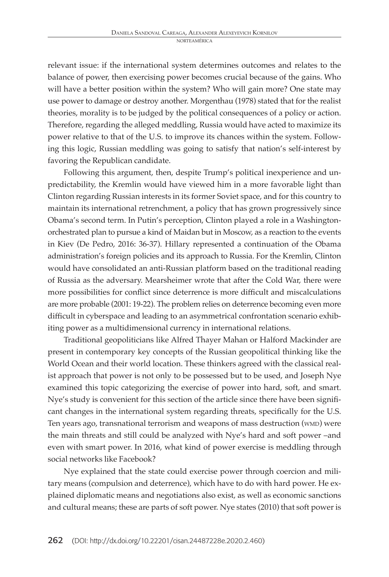relevant issue: if the international system determines outcomes and relates to the balance of power, then exercising power becomes crucial because of the gains. Who will have a better position within the system? Who will gain more? One state may use power to damage or destroy another. Morgenthau (1978) stated that for the realist theories, morality is to be judged by the political consequences of a policy or action. Therefore, regarding the alleged meddling, Russia would have acted to maximize its power relative to that of the U.S. to improve its chances within the system. Following this logic, Russian meddling was going to satisfy that nation's self-interest by favoring the Republican candidate.

Following this argument, then, despite Trump's political inexperience and unpredictability, the Kremlin would have viewed him in a more favorable light than Clinton regarding Russian interests in its former Soviet space, and for this country to maintain its international retrenchment, a policy that has grown progressively since Obama's second term. In Putin's perception, Clinton played a role in a Washingtonorchestrated plan to pursue a kind of Maidan but in Moscow, as a reaction to the events in Kiev (De Pedro, 2016: 36-37). Hillary represented a continuation of the Obama administration's foreign policies and its approach to Russia. For the Kremlin, Clinton would have consolidated an anti-Russian platform based on the traditional reading of Russia as the adversary. Mearsheimer wrote that after the Cold War, there were more possibilities for conflict since deterrence is more difficult and miscalculations are more probable (2001: 19-22). The problem relies on deterrence becoming even more difficult in cyberspace and leading to an asymmetrical confrontation scenario exhibiting power as a multidimensional currency in international relations.

Traditional geopoliticians like Alfred Thayer Mahan or Halford Mackinder are present in contemporary key concepts of the Russian geopolitical thinking like the World Ocean and their world location. These thinkers agreed with the classical realist approach that power is not only to be possessed but to be used, and Joseph Nye examined this topic categorizing the exercise of power into hard, soft, and smart. Nye's study is convenient for this section of the article since there have been significant changes in the international system regarding threats, specifically for the U.S. Ten years ago, transnational terrorism and weapons of mass destruction (WMD) were the main threats and still could be analyzed with Nye's hard and soft power –and even with smart power. In 2016, what kind of power exercise is meddling through social networks like Facebook?

Nye explained that the state could exercise power through coercion and military means (compulsion and deterrence), which have to do with hard power. He explained diplomatic means and negotiations also exist, as well as economic sanctions and cultural means; these are parts of soft power. Nye states (2010) that soft power is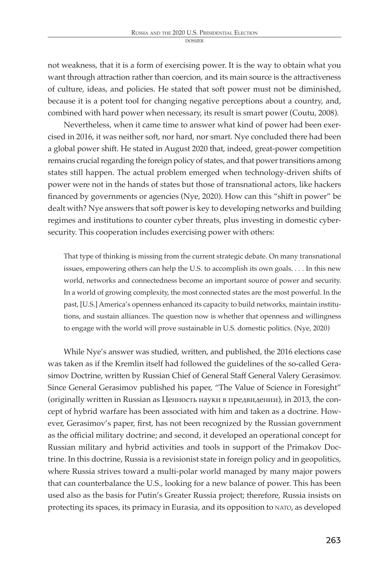dossie

not weakness, that it is a form of exercising power. It is the way to obtain what you want through attraction rather than coercion, and its main source is the attractiveness of culture, ideas, and policies. He stated that soft power must not be diminished, because it is a potent tool for changing negative perceptions about a country, and, combined with hard power when necessary, its result is smart power (Coutu, 2008).

Nevertheless, when it came time to answer what kind of power had been exercised in 2016, it was neither soft, nor hard, nor smart. Nye concluded there had been a global power shift. He stated in August 2020 that, indeed, great-power competition remains crucial regarding the foreign policy of states, and that power transitions among states still happen. The actual problem emerged when technology-driven shifts of power were not in the hands of states but those of transnational actors, like hackers financed by governments or agencies (Nye, 2020). How can this "shift in power" be dealt with? Nye answers that soft power is key to developing networks and building regimes and institutions to counter cyber threats, plus investing in domestic cybersecurity. This cooperation includes exercising power with others:

That type of thinking is missing from the current strategic debate. On many transnational issues, empowering others can help the U.S. to accomplish its own goals. . . . In this new world, networks and connectedness become an important source of power and security. In a world of growing complexity, the most connected states are the most powerful. In the past, [U.S.] America's openness enhanced its capacity to build networks, maintain institutions, and sustain alliances. The question now is whether that openness and willingness to engage with the world will prove sustainable in U.S. domestic politics. (Nye, 2020)

While Nye's answer was studied, written, and published, the 2016 elections case was taken as if the Kremlin itself had followed the guidelines of the so-called Gerasimov Doctrine, written by Russian Chief of General Staff General Valery Gerasimov. Since General Gerasimov published his paper, "The Value of Science in Foresight" (originally written in Russian as Ценность науки в предвидении), in 2013, the concept of hybrid warfare has been associated with him and taken as a doctrine. However, Gerasimov's paper, first, has not been recognized by the Russian government as the official military doctrine; and second, it developed an operational concept for Russian military and hybrid activities and tools in support of the Primakov Doctrine. In this doctrine, Russia is a revisionist state in foreign policy and in geopolitics, where Russia strives toward a multi-polar world managed by many major powers that can counterbalance the U.S., looking for a new balance of power. This has been used also as the basis for Putin's Greater Russia project; therefore, Russia insists on protecting its spaces, its primacy in Eurasia, and its opposition to nato, as developed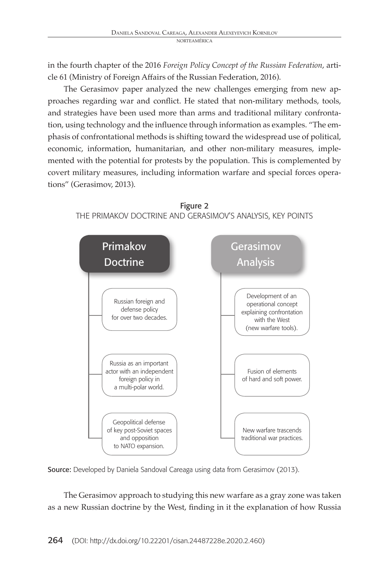in the fourth chapter of the 2016 *Foreign Policy Concept of the Russian Federation*, article 61 (Ministry of Foreign Affairs of the Russian Federation, 2016).

The Gerasimov paper analyzed the new challenges emerging from new approaches regarding war and conflict. He stated that non-military methods, tools, and strategies have been used more than arms and traditional military confrontation, using technology and the influence through information as examples. "The emphasis of confrontational methods is shifting toward the widespread use of political, economic, information, humanitarian, and other non-military measures, implemented with the potential for protests by the population. This is complemented by covert military measures, including information warfare and special forces operations" (Gerasimov, 2013).





Source: Developed by Daniela Sandoval Careaga using data from Gerasimov (2013).

The Gerasimov approach to studying this new warfare as a gray zone was taken as a new Russian doctrine by the West, finding in it the explanation of how Russia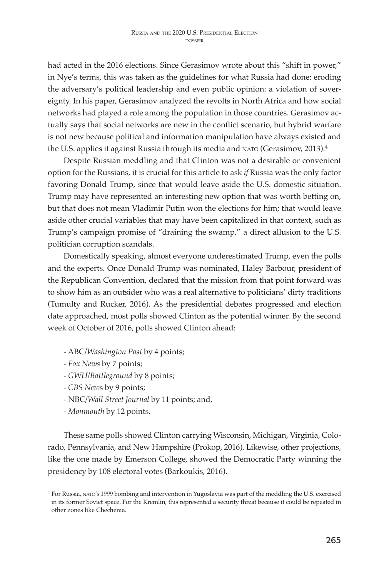had acted in the 2016 elections. Since Gerasimov wrote about this "shift in power," in Nye's terms, this was taken as the guidelines for what Russia had done: eroding the adversary's political leadership and even public opinion: a violation of sovereignty. In his paper, Gerasimov analyzed the revolts in North Africa and how social networks had played a role among the population in those countries. Gerasimov actually says that social networks are new in the conflict scenario, but hybrid warfare is not new because political and information manipulation have always existed and the U.S. applies it against Russia through its media and NATO (Gerasimov, 2013).<sup>4</sup>

Despite Russian meddling and that Clinton was not a desirable or convenient option for the Russians, it is crucial for this article to ask *if* Russia was the only factor favoring Donald Trump, since that would leave aside the U.S. domestic situation. Trump may have represented an interesting new option that was worth betting on, but that does not mean Vladimir Putin won the elections for him; that would leave aside other crucial variables that may have been capitalized in that context, such as Trump's campaign promise of "draining the swamp," a direct allusion to the U.S. politician corruption scandals.

Domestically speaking, almost everyone underestimated Trump, even the polls and the experts. Once Donald Trump was nominated, Haley Barbour, president of the Republican Convention, declared that the mission from that point forward was to show him as an outsider who was a real alternative to politicians' dirty traditions (Tumulty and Rucker, 2016). As the presidential debates progressed and election date approached, most polls showed Clinton as the potential winner. By the second week of October of 2016, polls showed Clinton ahead:

- ABC*/Washington Post* by 4 points;
- *Fox News* by 7 points;
- *GWU/Battleground* by 8 points;
- *CBS New*s by 9 points;
- NBC*/Wall Street Journal* by 11 points; and,
- *Monmouth* by 12 points.

These same polls showed Clinton carrying Wisconsin, Michigan, Virginia, Colorado, Pennsylvania, and New Hampshire (Prokop, 2016). Likewise, other projections, like the one made by Emerson College, showed the Democratic Party winning the presidency by 108 electoral votes (Barkoukis, 2016).

<sup>4</sup> For Russia, nato's 1999 bombing and intervention in Yugoslavia was part of the meddling the U.S. exercised in its former Soviet space. For the Kremlin, this represented a security threat because it could be repeated in other zones like Chechenia.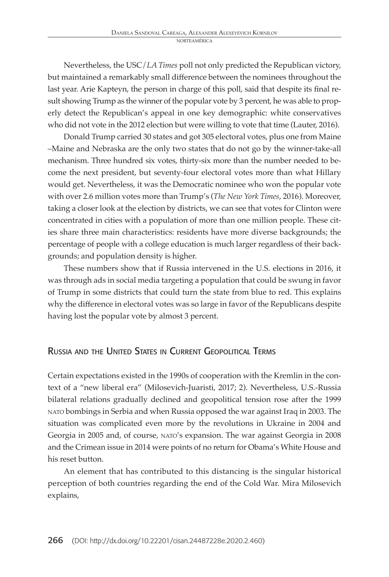Nevertheless, the USC/*LA Times* poll not only predicted the Republican victory, but maintained a remarkably small difference between the nominees throughout the last year. Arie Kapteyn, the person in charge of this poll, said that despite its final result showing Trump as the winner of the popular vote by 3 percent, he was able to properly detect the Republican's appeal in one key demographic: white conservatives who did not vote in the 2012 election but were willing to vote that time (Lauter, 2016).

Donald Trump carried 30 states and got 305 electoral votes, plus one from Maine –Maine and Nebraska are the only two states that do not go by the winner-take-all mechanism. Three hundred six votes, thirty-six more than the number needed to become the next president, but seventy-four electoral votes more than what Hillary would get. Nevertheless, it was the Democratic nominee who won the popular vote with over 2.6 million votes more than Trump's (*The New York Times*, 2016). Moreover, taking a closer look at the election by districts, we can see that votes for Clinton were concentrated in cities with a population of more than one million people. These cities share three main characteristics: residents have more diverse backgrounds; the percentage of people with a college education is much larger regardless of their backgrounds; and population density is higher.

These numbers show that if Russia intervened in the U.S. elections in 2016, it was through ads in social media targeting a population that could be swung in favor of Trump in some districts that could turn the state from blue to red. This explains why the difference in electoral votes was so large in favor of the Republicans despite having lost the popular vote by almost 3 percent.

# Russia and the United States in Current Geopolitical Terms

Certain expectations existed in the 1990s of cooperation with the Kremlin in the context of a "new liberal era" (Milosevich-Juaristi, 2017; 2). Nevertheless, U.S.-Russia bilateral relations gradually declined and geopolitical tension rose after the 1999 nato bombings in Serbia and when Russia opposed the war against Iraq in 2003. The situation was complicated even more by the revolutions in Ukraine in 2004 and Georgia in 2005 and, of course, nato's expansion. The war against Georgia in 2008 and the Crimean issue in 2014 were points of no return for Obama's White House and his reset button.

An element that has contributed to this distancing is the singular historical perception of both countries regarding the end of the Cold War. Mira Milosevich explains,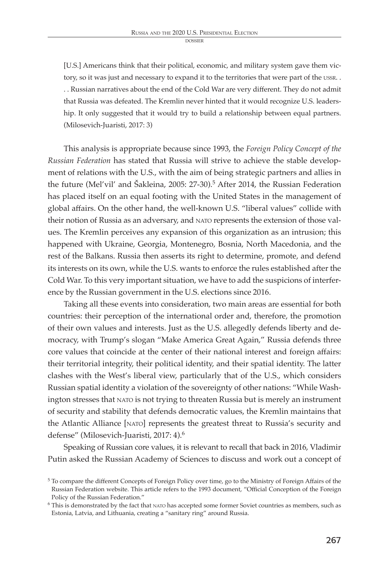**DOSSIER** 

[U.S.] Americans think that their political, economic, and military system gave them victory, so it was just and necessary to expand it to the territories that were part of the USSR.. . . Russian narratives about the end of the Cold War are very different. They do not admit that Russia was defeated. The Kremlin never hinted that it would recognize U.S. leadership. It only suggested that it would try to build a relationship between equal partners. (Milosevich-Juaristi, 2017: 3)

This analysis is appropriate because since 1993, the *Foreign Policy Concept of the Russian Federation* has stated that Russia will strive to achieve the stable development of relations with the U.S., with the aim of being strategic partners and allies in the future (Mel'vil' and Šakleina, 2005: 27-30).<sup>5</sup> After 2014, the Russian Federation has placed itself on an equal footing with the United States in the management of global affairs. On the other hand, the well-known U.S. "liberal values" collide with their notion of Russia as an adversary, and nato represents the extension of those values. The Kremlin perceives any expansion of this organization as an intrusion; this happened with Ukraine, Georgia, Montenegro, Bosnia, North Macedonia, and the rest of the Balkans. Russia then asserts its right to determine, promote, and defend its interests on its own, while the U.S. wants to enforce the rules established after the Cold War. To this very important situation, we have to add the suspicions of interference by the Russian government in the U.S. elections since 2016.

Taking all these events into consideration, two main areas are essential for both countries: their perception of the international order and, therefore, the promotion of their own values and interests. Just as the U.S. allegedly defends liberty and democracy, with Trump's slogan "Make America Great Again," Russia defends three core values that coincide at the center of their national interest and foreign affairs: their territorial integrity, their political identity, and their spatial identity. The latter clashes with the West's liberal view, particularly that of the U.S., which considers Russian spatial identity a violation of the sovereignty of other nations: "While Washington stresses that NATO is not trying to threaten Russia but is merely an instrument of security and stability that defends democratic values, the Kremlin maintains that the Atlantic Alliance [nato] represents the greatest threat to Russia's security and defense" (Milosevich-Juaristi, 2017: 4).<sup>6</sup>

Speaking of Russian core values, it is relevant to recall that back in 2016, Vladimir Putin asked the Russian Academy of Sciences to discuss and work out a concept of

<sup>5</sup> To compare the different Concepts of Foreign Policy over time, go to the Ministry of Foreign Affairs of the Russian Federation website. This article refers to the 1993 document, "Official Conception of the Foreign Policy of the Russian Federation."

<sup>&</sup>lt;sup>6</sup> This is demonstrated by the fact that NATO has accepted some former Soviet countries as members, such as Estonia, Latvia, and Lithuania, creating a "sanitary ring" around Russia.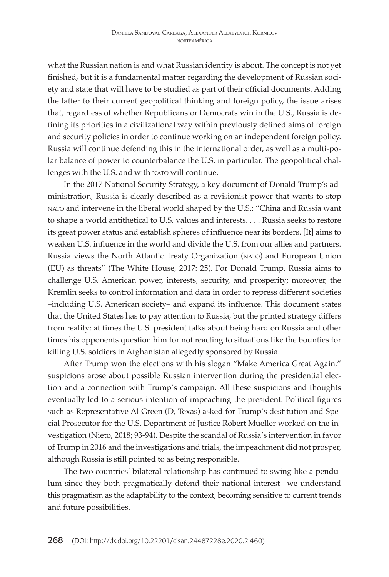what the Russian nation is and what Russian identity is about. The concept is not yet finished, but it is a fundamental matter regarding the development of Russian society and state that will have to be studied as part of their official documents. Adding the latter to their current geopolitical thinking and foreign policy, the issue arises that, regardless of whether Republicans or Democrats win in the U.S., Russia is defining its priorities in a civilizational way within previously defined aims of foreign and security policies in order to continue working on an independent foreign policy. Russia will continue defending this in the international order, as well as a multi-polar balance of power to counterbalance the U.S. in particular. The geopolitical challenges with the U.S. and with NATO will continue.

In the 2017 National Security Strategy, a key document of Donald Trump's administration, Russia is clearly described as a revisionist power that wants to stop nato and intervene in the liberal world shaped by the U.S.: "China and Russia want to shape a world antithetical to U.S. values and interests. . . . Russia seeks to restore its great power status and establish spheres of influence near its borders. [It] aims to weaken U.S. influence in the world and divide the U.S. from our allies and partners. Russia views the North Atlantic Treaty Organization (nato) and European Union (EU) as threats" (The White House, 2017: 25). For Donald Trump, Russia aims to challenge U.S. American power, interests, security, and prosperity; moreover, the Kremlin seeks to control information and data in order to repress different societies –including U.S. American society– and expand its influence. This document states that the United States has to pay attention to Russia, but the printed strategy differs from reality: at times the U.S. president talks about being hard on Russia and other times his opponents question him for not reacting to situations like the bounties for killing U.S. soldiers in Afghanistan allegedly sponsored by Russia.

After Trump won the elections with his slogan "Make America Great Again," suspicions arose about possible Russian intervention during the presidential election and a connection with Trump's campaign. All these suspicions and thoughts eventually led to a serious intention of impeaching the president. Political figures such as Representative Al Green (D, Texas) asked for Trump's destitution and Special Prosecutor for the U.S. Department of Justice Robert Mueller worked on the investigation (Nieto, 2018; 93-94). Despite the scandal of Russia's intervention in favor of Trump in 2016 and the investigations and trials, the impeachment did not prosper, although Russia is still pointed to as being responsible.

The two countries' bilateral relationship has continued to swing like a pendulum since they both pragmatically defend their national interest –we understand this pragmatism as the adaptability to the context, becoming sensitive to current trends and future possibilities.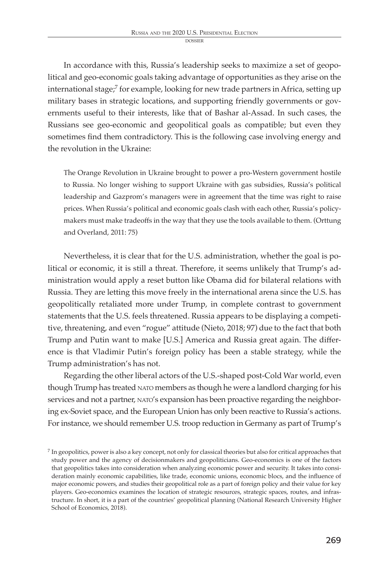In accordance with this, Russia's leadership seeks to maximize a set of geopolitical and geo-economic goals taking advantage of opportunities as they arise on the international stage;<sup>7</sup> for example, looking for new trade partners in Africa, setting up military bases in strategic locations, and supporting friendly governments or governments useful to their interests, like that of Bashar al-Assad. In such cases, the Russians see geo-economic and geopolitical goals as compatible; but even they sometimes find them contradictory. This is the following case involving energy and the revolution in the Ukraine:

The Orange Revolution in Ukraine brought to power a pro-Western government hostile to Russia. No longer wishing to support Ukraine with gas subsidies, Russia's political leadership and Gazprom's managers were in agreement that the time was right to raise prices. When Russia's political and economic goals clash with each other, Russia's policymakers must make tradeoffs in the way that they use the tools available to them. (Orttung and Overland, 2011: 75)

Nevertheless, it is clear that for the U.S. administration, whether the goal is political or economic, it is still a threat. Therefore, it seems unlikely that Trump's administration would apply a reset button like Obama did for bilateral relations with Russia. They are letting this move freely in the international arena since the U.S. has geopolitically retaliated more under Trump, in complete contrast to government statements that the U.S. feels threatened. Russia appears to be displaying a competitive, threatening, and even "rogue" attitude (Nieto, 2018; 97) due to the fact that both Trump and Putin want to make [U.S.] America and Russia great again. The difference is that Vladimir Putin's foreign policy has been a stable strategy, while the Trump administration's has not.

Regarding the other liberal actors of the U.S.-shaped post-Cold War world, even though Trump has treated nato members as though he were a landlord charging for his services and not a partner, NATO's expansion has been proactive regarding the neighboring ex-Soviet space, and the European Union has only been reactive to Russia's actions. For instance, we should remember U.S. troop reduction in Germany as part of Trump's

<sup>&</sup>lt;sup>7</sup> In geopolitics, power is also a key concept, not only for classical theories but also for critical approaches that study power and the agency of decisionmakers and geopoliticians. Geo-economics is one of the factors that geopolitics takes into consideration when analyzing economic power and security. It takes into consideration mainly economic capabilities, like trade, economic unions, economic blocs, and the influence of major economic powers, and studies their geopolitical role as a part of foreign policy and their value for key players. Geo-economics examines the location of strategic resources, strategic spaces, routes, and infrastructure. In short, it is a part of the countries' geopolitical planning (National Research University Higher School of Economics, 2018).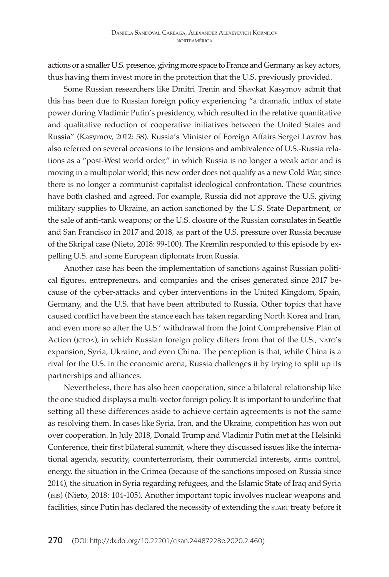actions or a smaller U.S. presence, giving more space to France and Germany as key actors, thus having them invest more in the protection that the U.S. previously provided.

Some Russian researchers like Dmitri Trenin and Shavkat Kasymov admit that this has been due to Russian foreign policy experiencing "a dramatic influx of state power during Vladimir Putin's presidency, which resulted in the relative quantitative and qualitative reduction of cooperative initiatives between the United States and Russia" (Kasymov, 2012: 58). Russia's Minister of Foreign Affairs Sergei Lavrov has also referred on several occasions to the tensions and ambivalence of U.S.-Russia relations as a "post-West world order," in which Russia is no longer a weak actor and is moving in a multipolar world; this new order does not qualify as a new Cold War, since there is no longer a communist-capitalist ideological confrontation. These countries have both clashed and agreed. For example, Russia did not approve the U.S. giving military supplies to Ukraine, an action sanctioned by the U.S. State Department, or the sale of anti-tank weapons; or the U.S. closure of the Russian consulates in Seattle and San Francisco in 2017 and 2018, as part of the U.S. pressure over Russia because of the Skripal case (Nieto, 2018: 99-100). The Kremlin responded to this episode by expelling U.S. and some European diplomats from Russia.

Another case has been the implementation of sanctions against Russian political figures, entrepreneurs, and companies and the crises generated since 2017 because of the cyber-attacks and cyber interventions in the United Kingdom, Spain, Germany, and the U.S. that have been attributed to Russia. Other topics that have caused conflict have been the stance each has taken regarding North Korea and Iran, and even more so after the U.S.' withdrawal from the Joint Comprehensive Plan of Action (jcpoa), in which Russian foreign policy differs from that of the U.S., nato's expansion, Syria, Ukraine, and even China. The perception is that, while China is a rival for the U.S. in the economic arena, Russia challenges it by trying to split up its partnerships and alliances.

Nevertheless, there has also been cooperation, since a bilateral relationship like the one studied displays a multi-vector foreign policy. It is important to underline that setting all these differences aside to achieve certain agreements is not the same as resolving them. In cases like Syria, Iran, and the Ukraine, competition has won out over cooperation. In July 2018, Donald Trump and Vladimir Putin met at the Helsinki Conference, their first bilateral summit, where they discussed issues like the international agenda, security, counterterrorism, their commercial interests, arms control, energy, the situation in the Crimea (because of the sanctions imposed on Russia since 2014), the situation in Syria regarding refugees, and the Islamic State of Iraq and Syria (isis) (Nieto, 2018: 104-105). Another important topic involves nuclear weapons and facilities, since Putin has declared the necessity of extending the START treaty before it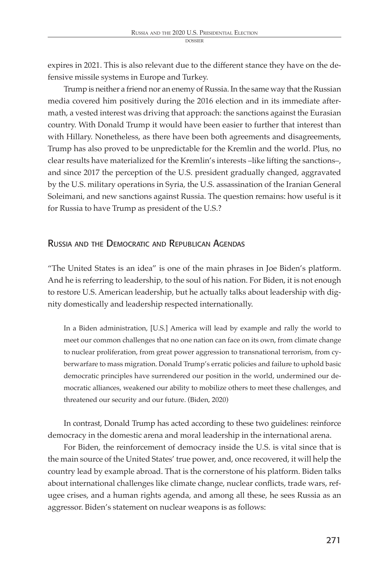expires in 2021. This is also relevant due to the different stance they have on the defensive missile systems in Europe and Turkey.

Trump is neither a friend nor an enemy of Russia. In the same way that the Russian media covered him positively during the 2016 election and in its immediate aftermath, a vested interest was driving that approach: the sanctions against the Eurasian country. With Donald Trump it would have been easier to further that interest than with Hillary. Nonetheless, as there have been both agreements and disagreements, Trump has also proved to be unpredictable for the Kremlin and the world. Plus, no clear results have materialized for the Kremlin's interests –like lifting the sanctions–, and since 2017 the perception of the U.S. president gradually changed, aggravated by the U.S. military operations in Syria, the U.S. assassination of the Iranian General Soleimani, and new sanctions against Russia. The question remains: how useful is it for Russia to have Trump as president of the U.S.?

# Russia and the Democratic and Republican Agendas

"The United States is an idea" is one of the main phrases in Joe Biden's platform. And he is referring to leadership, to the soul of his nation. For Biden, it is not enough to restore U.S. American leadership, but he actually talks about leadership with dignity domestically and leadership respected internationally.

In a Biden administration, [U.S.] America will lead by example and rally the world to meet our common challenges that no one nation can face on its own, from climate change to nuclear proliferation, from great power aggression to transnational terrorism, from cyberwarfare to mass migration. Donald Trump's erratic policies and failure to uphold basic democratic principles have surrendered our position in the world, undermined our democratic alliances, weakened our ability to mobilize others to meet these challenges, and threatened our security and our future. (Biden, 2020)

In contrast, Donald Trump has acted according to these two guidelines: reinforce democracy in the domestic arena and moral leadership in the international arena.

For Biden, the reinforcement of democracy inside the U.S. is vital since that is the main source of the United States' true power, and, once recovered, it will help the country lead by example abroad. That is the cornerstone of his platform. Biden talks about international challenges like climate change, nuclear conflicts, trade wars, refugee crises, and a human rights agenda, and among all these, he sees Russia as an aggressor. Biden's statement on nuclear weapons is as follows: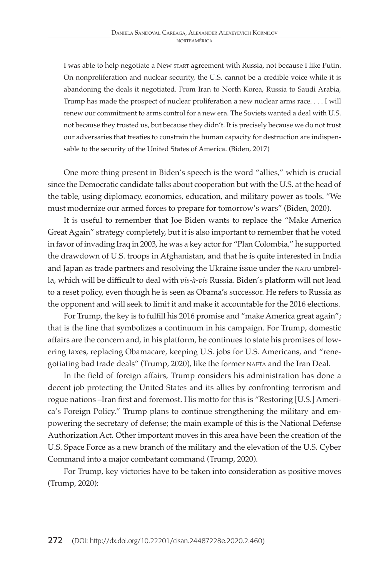I was able to help negotiate a New start agreement with Russia, not because I like Putin. On nonproliferation and nuclear security, the U.S. cannot be a credible voice while it is abandoning the deals it negotiated. From Iran to North Korea, Russia to Saudi Arabia, Trump has made the prospect of nuclear proliferation a new nuclear arms race. . . . I will renew our commitment to arms control for a new era. The Soviets wanted a deal with U.S. not because they trusted us, but because they didn't. It is precisely because we do not trust our adversaries that treaties to constrain the human capacity for destruction are indispensable to the security of the United States of America. (Biden, 2017)

One more thing present in Biden's speech is the word "allies," which is crucial since the Democratic candidate talks about cooperation but with the U.S. at the head of the table, using diplomacy, economics, education, and military power as tools. "We must modernize our armed forces to prepare for tomorrow's wars" (Biden, 2020).

It is useful to remember that Joe Biden wants to replace the "Make America Great Again" strategy completely, but it is also important to remember that he voted in favor of invading Iraq in 2003, he was a key actor for "Plan Colombia," he supported the drawdown of U.S. troops in Afghanistan, and that he is quite interested in India and Japan as trade partners and resolving the Ukraine issue under the nato umbrella, which will be difficult to deal with *vis-à-vis* Russia. Biden's platform will not lead to a reset policy, even though he is seen as Obama's successor. He refers to Russia as the opponent and will seek to limit it and make it accountable for the 2016 elections.

For Trump, the key is to fulfill his 2016 promise and "make America great again"; that is the line that symbolizes a continuum in his campaign. For Trump, domestic affairs are the concern and, in his platform, he continues to state his promises of lowering taxes, replacing Obamacare, keeping U.S. jobs for U.S. Americans, and "renegotiating bad trade deals" (Trump, 2020), like the former NAFTA and the Iran Deal.

In the field of foreign affairs, Trump considers his administration has done a decent job protecting the United States and its allies by confronting terrorism and rogue nations –Iran first and foremost. His motto for this is "Restoring [U.S.] America's Foreign Policy." Trump plans to continue strengthening the military and empowering the secretary of defense; the main example of this is the National Defense Authorization Act. Other important moves in this area have been the creation of the U.S. Space Force as a new branch of the military and the elevation of the U.S. Cyber Command into a major combatant command (Trump, 2020).

For Trump, key victories have to be taken into consideration as positive moves (Trump, 2020):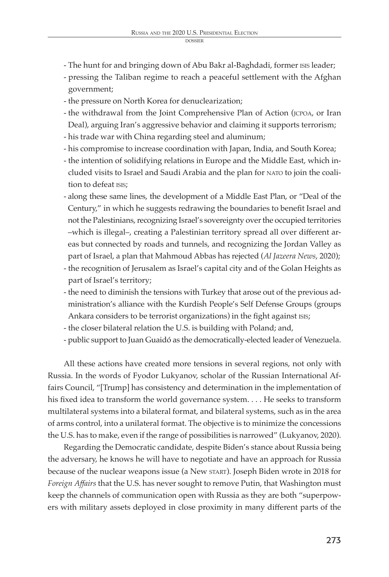- The hunt for and bringing down of Abu Bakr al-Baghdadi, former ISIS leader;
- pressing the Taliban regime to reach a peaceful settlement with the Afghan government;
- the pressure on North Korea for denuclearization;
- the withdrawal from the Joint Comprehensive Plan of Action (jcpoa, or Iran Deal), arguing Iran's aggressive behavior and claiming it supports terrorism;
- his trade war with China regarding steel and aluminum;
- his compromise to increase coordination with Japan, India, and South Korea;
- the intention of solidifying relations in Europe and the Middle East, which included visits to Israel and Saudi Arabia and the plan for nato to join the coalition to defeat isis;
- along these same lines, the development of a Middle East Plan, or "Deal of the Century," in which he suggests redrawing the boundaries to benefit Israel and not the Palestinians, recognizing Israel's sovereignty over the occupied territories –which is illegal–, creating a Palestinian territory spread all over different areas but connected by roads and tunnels, and recognizing the Jordan Valley as part of Israel, a plan that Mahmoud Abbas has rejected (*Al Jazeera News*, 2020);
- the recognition of Jerusalem as Israel's capital city and of the Golan Heights as part of Israel's territory;
- the need to diminish the tensions with Turkey that arose out of the previous administration's alliance with the Kurdish People's Self Defense Groups (groups Ankara considers to be terrorist organizations) in the fight against isis;
- the closer bilateral relation the U.S. is building with Poland; and,
- public support to Juan Guaidó as the democratically-elected leader of Venezuela.

All these actions have created more tensions in several regions, not only with Russia. In the words of Fyodor Lukyanov, scholar of the Russian International Affairs Council, "[Trump] has consistency and determination in the implementation of his fixed idea to transform the world governance system. . . . He seeks to transform multilateral systems into a bilateral format, and bilateral systems, such as in the area of arms control, into a unilateral format. The objective is to minimize the concessions the U.S. has to make, even if the range of possibilities is narrowed" (Lukyanov, 2020).

Regarding the Democratic candidate, despite Biden's stance about Russia being the adversary, he knows he will have to negotiate and have an approach for Russia because of the nuclear weapons issue (a New start). Joseph Biden wrote in 2018 for *Foreign Affairs* that the U.S. has never sought to remove Putin, that Washington must keep the channels of communication open with Russia as they are both "superpowers with military assets deployed in close proximity in many different parts of the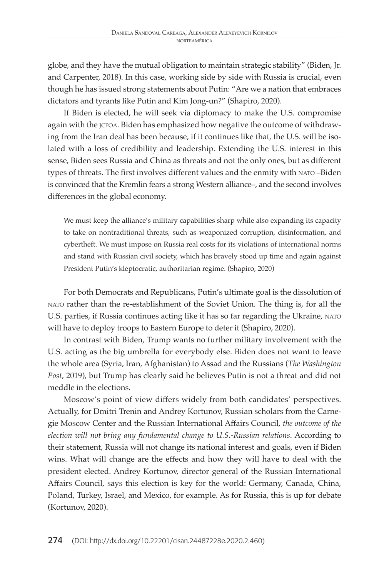globe, and they have the mutual obligation to maintain strategic stability" (Biden, Jr. and Carpenter, 2018). In this case, working side by side with Russia is crucial, even though he has issued strong statements about Putin: "Are we a nation that embraces dictators and tyrants like Putin and Kim Jong-un?" (Shapiro, 2020).

If Biden is elected, he will seek via diplomacy to make the U.S. compromise again with the jcpoa. Biden has emphasized how negative the outcome of withdrawing from the Iran deal has been because, if it continues like that, the U.S. will be isolated with a loss of credibility and leadership. Extending the U.S. interest in this sense, Biden sees Russia and China as threats and not the only ones, but as different types of threats. The first involves different values and the enmity with nato –Biden is convinced that the Kremlin fears a strong Western alliance–, and the second involves differences in the global economy.

We must keep the alliance's military capabilities sharp while also expanding its capacity to take on nontraditional threats, such as weaponized corruption, disinformation, and cybertheft. We must impose on Russia real costs for its violations of international norms and stand with Russian civil society, which has bravely stood up time and again against President Putin's kleptocratic, authoritarian regime. (Shapiro, 2020)

For both Democrats and Republicans, Putin's ultimate goal is the dissolution of nato rather than the re-establishment of the Soviet Union. The thing is, for all the U.S. parties, if Russia continues acting like it has so far regarding the Ukraine, nato will have to deploy troops to Eastern Europe to deter it (Shapiro, 2020).

In contrast with Biden, Trump wants no further military involvement with the U.S. acting as the big umbrella for everybody else. Biden does not want to leave the whole area (Syria, Iran, Afghanistan) to Assad and the Russians (*The Washington Post*, 2019), but Trump has clearly said he believes Putin is not a threat and did not meddle in the elections.

Moscow's point of view differs widely from both candidates' perspectives. Actually, for Dmitri Trenin and Andrey Kortunov, Russian scholars from the Carnegie Moscow Center and the Russian International Affairs Council, *the outcome of the election will not bring any fundamental change to U.S.-Russian relations*. According to their statement, Russia will not change its national interest and goals, even if Biden wins. What will change are the effects and how they will have to deal with the president elected. Andrey Kortunov, director general of the Russian International Affairs Council, says this election is key for the world: Germany, Canada, China, Poland, Turkey, Israel, and Mexico, for example. As for Russia, this is up for debate (Kortunov, 2020).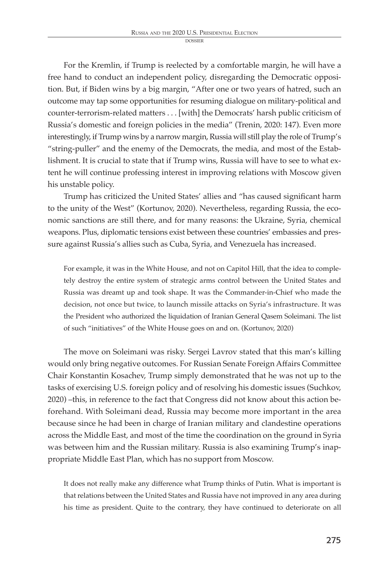For the Kremlin, if Trump is reelected by a comfortable margin, he will have a free hand to conduct an independent policy, disregarding the Democratic opposition. But, if Biden wins by a big margin, "After one or two years of hatred, such an outcome may tap some opportunities for resuming dialogue on military-political and counter-terrorism-related matters . . . [with] the Democrats' harsh public criticism of Russia's domestic and foreign policies in the media" (Trenin, 2020: 147). Even more interestingly, if Trump wins by a narrow margin, Russia will still play the role of Trump's "string-puller" and the enemy of the Democrats, the media, and most of the Establishment. It is crucial to state that if Trump wins, Russia will have to see to what extent he will continue professing interest in improving relations with Moscow given his unstable policy.

Trump has criticized the United States' allies and "has caused significant harm to the unity of the West" (Kortunov, 2020). Nevertheless, regarding Russia, the economic sanctions are still there, and for many reasons: the Ukraine, Syria, chemical weapons. Plus, diplomatic tensions exist between these countries' embassies and pressure against Russia's allies such as Cuba, Syria, and Venezuela has increased.

For example, it was in the White House, and not on Capitol Hill, that the idea to completely destroy the entire system of strategic arms control between the United States and Russia was dreamt up and took shape. It was the Commander-in-Chief who made the decision, not once but twice, to launch missile attacks on Syria's infrastructure. It was the President who authorized the liquidation of Iranian General Qasem Soleimani. The list of such "initiatives" of the White House goes on and on. (Kortunov, 2020)

The move on Soleimani was risky. Sergei Lavrov stated that this man's killing would only bring negative outcomes. For Russian Senate Foreign Affairs Committee Chair Konstantin Kosachev, Trump simply demonstrated that he was not up to the tasks of exercising U.S. foreign policy and of resolving his domestic issues (Suchkov, 2020) –this, in reference to the fact that Congress did not know about this action beforehand. With Soleimani dead, Russia may become more important in the area because since he had been in charge of Iranian military and clandestine operations across the Middle East, and most of the time the coordination on the ground in Syria was between him and the Russian military. Russia is also examining Trump's inappropriate Middle East Plan, which has no support from Moscow.

It does not really make any difference what Trump thinks of Putin. What is important is that relations between the United States and Russia have not improved in any area during his time as president. Quite to the contrary, they have continued to deteriorate on all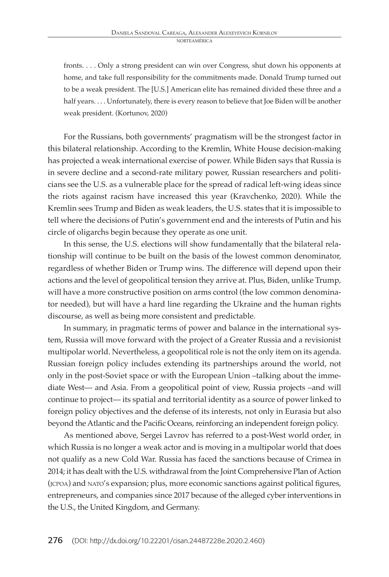fronts. . . . Only a strong president can win over Congress, shut down his opponents at home, and take full responsibility for the commitments made. Donald Trump turned out to be a weak president. The [U.S.] American elite has remained divided these three and a half years. . . . Unfortunately, there is every reason to believe that Joe Biden will be another weak president. (Kortunov, 2020)

For the Russians, both governments' pragmatism will be the strongest factor in this bilateral relationship. According to the Kremlin, White House decision-making has projected a weak international exercise of power. While Biden says that Russia is in severe decline and a second-rate military power, Russian researchers and politicians see the U.S. as a vulnerable place for the spread of radical left-wing ideas since the riots against racism have increased this year (Kravchenko, 2020). While the Kremlin sees Trump and Biden as weak leaders, the U.S. states that it is impossible to tell where the decisions of Putin's government end and the interests of Putin and his circle of oligarchs begin because they operate as one unit.

In this sense, the U.S. elections will show fundamentally that the bilateral relationship will continue to be built on the basis of the lowest common denominator, regardless of whether Biden or Trump wins. The difference will depend upon their actions and the level of geopolitical tension they arrive at. Plus, Biden, unlike Trump, will have a more constructive position on arms control (the low common denominator needed), but will have a hard line regarding the Ukraine and the human rights discourse, as well as being more consistent and predictable.

In summary, in pragmatic terms of power and balance in the international system, Russia will move forward with the project of a Greater Russia and a revisionist multipolar world. Nevertheless, a geopolitical role is not the only item on its agenda. Russian foreign policy includes extending its partnerships around the world, not only in the post-Soviet space or with the European Union –talking about the immediate West— and Asia. From a geopolitical point of view, Russia projects –and will continue to project— its spatial and territorial identity as a source of power linked to foreign policy objectives and the defense of its interests, not only in Eurasia but also beyond the Atlantic and the Pacific Oceans, reinforcing an independent foreign policy.

As mentioned above, Sergei Lavrov has referred to a post-West world order, in which Russia is no longer a weak actor and is moving in a multipolar world that does not qualify as a new Cold War. Russia has faced the sanctions because of Crimea in 2014; it has dealt with the U.S. withdrawal from the Joint Comprehensive Plan of Action (jcpoa) and nato's expansion; plus, more economic sanctions against political figures, entrepreneurs, and companies since 2017 because of the alleged cyber interventions in the U.S., the United Kingdom, and Germany.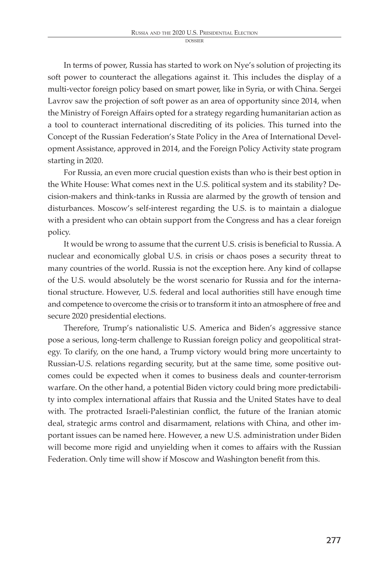In terms of power, Russia has started to work on Nye's solution of projecting its soft power to counteract the allegations against it. This includes the display of a multi-vector foreign policy based on smart power, like in Syria, or with China. Sergei Lavrov saw the projection of soft power as an area of opportunity since 2014, when the Ministry of Foreign Affairs opted for a strategy regarding humanitarian action as a tool to counteract international discrediting of its policies. This turned into the Concept of the Russian Federation's State Policy in the Area of International Development Assistance, approved in 2014, and the Foreign Policy Activity state program starting in 2020.

For Russia, an even more crucial question exists than who is their best option in the White House: What comes next in the U.S. political system and its stability? Decision-makers and think-tanks in Russia are alarmed by the growth of tension and disturbances. Moscow's self-interest regarding the U.S. is to maintain a dialogue with a president who can obtain support from the Congress and has a clear foreign policy.

It would be wrong to assume that the current U.S. crisis is beneficial to Russia. A nuclear and economically global U.S. in crisis or chaos poses a security threat to many countries of the world. Russia is not the exception here. Any kind of collapse of the U.S. would absolutely be the worst scenario for Russia and for the international structure. However, U.S. federal and local authorities still have enough time and competence to overcome the crisis or to transform it into an atmosphere of free and secure 2020 presidential elections.

Therefore, Trump's nationalistic U.S. America and Biden's aggressive stance pose a serious, long-term challenge to Russian foreign policy and geopolitical strategy. To clarify, on the one hand, a Trump victory would bring more uncertainty to Russian-U.S. relations regarding security, but at the same time, some positive outcomes could be expected when it comes to business deals and counter-terrorism warfare. On the other hand, a potential Biden victory could bring more predictability into complex international affairs that Russia and the United States have to deal with. The protracted Israeli-Palestinian conflict, the future of the Iranian atomic deal, strategic arms control and disarmament, relations with China, and other important issues can be named here. However, a new U.S. administration under Biden will become more rigid and unyielding when it comes to affairs with the Russian Federation. Only time will show if Moscow and Washington benefit from this.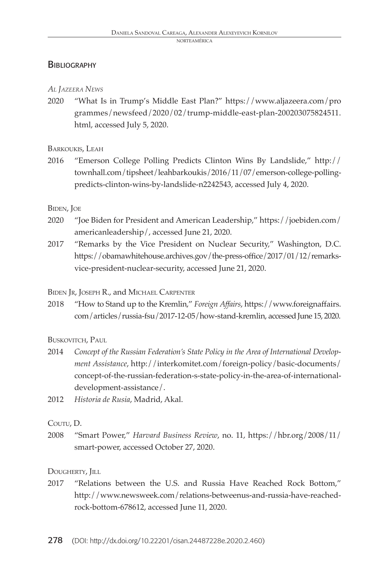# **BIBLIOGRAPHY**

#### *Al Jazeera News*

2020 "What Is in Trump's Middle East Plan?" https://www.aljazeera.com/pro grammes/newsfeed/2020/02/trump-middle-east-plan-200203075824511. html, accessed July 5, 2020.

BARKOUKIS, LEAH

2016 "Emerson College Polling Predicts Clinton Wins By Landslide," http:// townhall.com/tipsheet/leahbarkoukis/2016/11/07/emerson-college-pollingpredicts-clinton-wins-by-landslide-n2242543, accessed July 4, 2020.

#### Biden, Joe

- 2020 "Joe Biden for President and American Leadership," https://joebiden.com/ americanleadership/, accessed June 21, 2020.
- 2017 "Remarks by the Vice President on Nuclear Security," Washington, D.C. https://obamawhitehouse.archives.gov/the-press-office/2017/01/12/remarksvice-president-nuclear-security, accessed June 21, 2020.

Biden Jr, Joseph R., and Michael Carpenter

2018 "How to Stand up to the Kremlin," *Foreign Affairs*, https://www.foreignaffairs. com/articles/russia-fsu/2017-12-05/how-stand-kremlin, accessed June 15, 2020.

BUSKOVITCH, PAUL

- 2014 *Concept of the Russian Federation's State Policy in the Area of International Development Assistance*, http://interkomitet.com/foreign-policy/basic-documents/ concept-of-the-russian-federation-s-state-policy-in-the-area-of-internationaldevelopment-assistance/.
- 2012 *Historia de Rusia*, Madrid, Akal.

### Coutu, D.

2008 "Smart Power," *Harvard Business Review*, no. 11, https://hbr.org/2008/11/ smart-power, accessed October 27, 2020.

DOUGHERTY, JILL

2017 "Relations between the U.S. and Russia Have Reached Rock Bottom," http://www.newsweek.com/relations-betweenus-and-russia-have-reachedrock-bottom-678612, accessed June 11, 2020.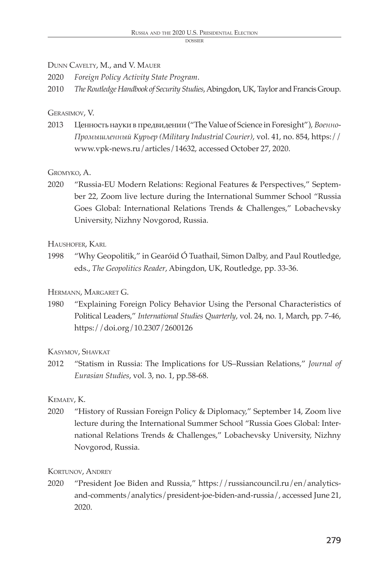#### dossie

# Dunn Cavelty, M., and V. Mauer

2020 *Foreign Policy Activity State Program*.

2010 *The Routledge Handbook of Security Studies*, Abingdon, UK, Taylor and Francis Group.

# Gerasimov, V.

2013 Ценность науки в предвидении ("The Value of Science in Foresight"), *Военно-Промышленный Курьер (Military Industrial Courier)*, vol. 41, no. 854, https:// www.vpk-news.ru/articles/14632, accessed October 27, 2020.

# Gromyko, A.

2020 "Russia-EU Modern Relations: Regional Features & Perspectives," September 22, Zoom live lecture during the International Summer School "Russia Goes Global: International Relations Trends & Challenges," Lobachevsky University, Nizhny Novgorod, Russia.

Haushofer, Karl

1998 "Why Geopolitik," in Gearóid Ó Tuathail, Simon Dalby, and Paul Routledge, eds., *The Geopolitics Reader*, Abingdon, UK, Routledge, pp. 33-36.

Hermann, Margaret G.

1980 "Explaining Foreign Policy Behavior Using the Personal Characteristics of Political Leaders," *International Studies Quarterly*, vol. 24, no. 1, March, pp. 7-46, https://doi.org/10.2307/2600126

# Kasymov, Shavkat

2012 "Statism in Russia: The Implications for US–Russian Relations," *Journal of Eurasian Studies*, vol. 3, no. 1, pp.58-68.

Kemaev, K.

2020 "History of Russian Foreign Policy & Diplomacy," September 14, Zoom live lecture during the International Summer School "Russia Goes Global: International Relations Trends & Challenges," Lobachevsky University, Nizhny Novgorod, Russia.

KORTUNOV, ANDREY

2020 "President Joe Biden and Russia," https://russiancouncil.ru/en/analyticsand-comments/analytics/president-joe-biden-and-russia/, accessed June 21, 2020.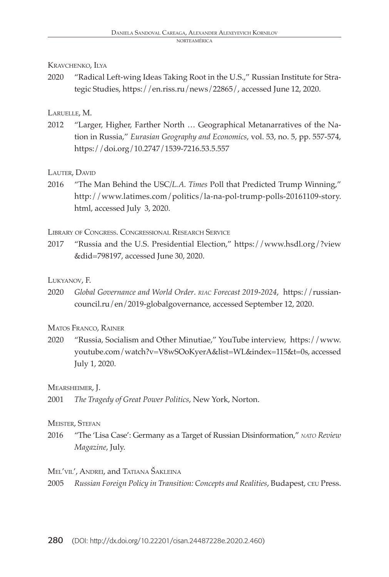#### Kravchenko, Ilya

2020 "Radical Left-wing Ideas Taking Root in the U.S.," Russian Institute for Strategic Studies, https://en.riss.ru/news/22865/, accessed June 12, 2020.

#### Laruelle, M.

2012 "Larger, Higher, Farther North … Geographical Metanarratives of the Nation in Russia," *Eurasian Geography and Economics*, vol. 53, no. 5, pp. 557-574, https://doi.org/10.2747/1539-7216.53.5.557

#### LAUTER, DAVID

2016 "The Man Behind the USC*/L.A. Times* Poll that Predicted Trump Winning," http://www.latimes.com/politics/la-na-pol-trump-polls-20161109-story. html, accessed July 3, 2020.

#### Library of Congress. Congressional Research Service

2017 "Russia and the U.S. Presidential Election," https://www.hsdl.org/?view &did=798197, accessed June 30, 2020.

#### Lukyanov, F.

2020 *Global Governance and World Order*. *riac Forecast 2019-2024*, https://russiancouncil.ru/en/2019-globalgovernance, accessed September 12, 2020.

#### Matos Franco, Rainer

2020 "Russia, Socialism and Other Minutiae," YouTube interview, https://www. youtube.com/watch?v=V8wSOoKyerA&list=WL&index=115&t=0s, accessed July 1, 2020.

#### Mearsheimer, J.

2001 *The Tragedy of Great Power Politics*, New York, Norton.

#### Meister, Stefan

2016 "The 'Lisa Case': Germany as a Target of Russian Disinformation," *nato Review Magazine*, July.

#### Mel'vil', Andrei, and Tatiana Šakleina

2005 *Russian Foreign Policy in Transition: Concepts and Realities*, Budapest, ceu Press.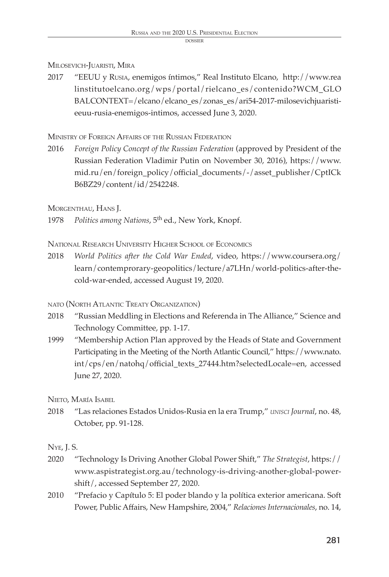#### dossie

# Milosevich-Juaristi, Mira

2017 "EEUU y Rusia, enemigos íntimos," Real Instituto Elcano, http://www.rea linstitutoelcano.org/wps/portal/rielcano\_es/contenido?WCM\_GLO BALCONTEXT=/elcano/elcano\_es/zonas\_es/ari54-2017-milosevichjuaristieeuu-rusia-enemigos-intimos, accessed June 3, 2020.

Ministry of Foreign Affairs of the Russian Federation

2016 *Foreign Policy Concept of the Russian Federation* (approved by President of the Russian Federation Vladimir Putin on November 30, 2016), https://www. mid.ru/en/foreign\_policy/official\_documents/-/asset\_publisher/CptICk B6BZ29/content/id/2542248.

Morgenthau, Hans J.

1978 *Politics among Nations*, 5th ed., New York, Knopf.

National Research University Higher School of Economics

2018 *World Politics after the Cold War Ended*, video, https://www.coursera.org/ learn/contemprorary-geopolitics/lecture/a7LHn/world-politics-after-thecold-war-ended, accessed August 19, 2020.

# nato (North Atlantic Treaty Organization)

- 2018 "Russian Meddling in Elections and Referenda in The Alliance," Science and Technology Committee, pp. 1-17.
- 1999 "Membership Action Plan approved by the Heads of State and Government Participating in the Meeting of the North Atlantic Council," https://www.nato. int/cps/en/natohq/official\_texts\_27444.htm?selectedLocale=en, accessed June 27, 2020.

Nieto, María Isabel

2018 "Las relaciones Estados Unidos-Rusia en la era Trump," *unisci Journal*, no. 48, October, pp. 91-128.

# Nye, J. S.

- 2020 "Technology Is Driving Another Global Power Shift," *The Strategist*, https:// www.aspistrategist.org.au/technology-is-driving-another-global-powershift/, accessed September 27, 2020.
- 2010 "Prefacio y Capítulo 5: El poder blando y la política exterior americana. Soft Power, Public Affairs, New Hampshire, 2004," *Relaciones Internacionales*, no. 14,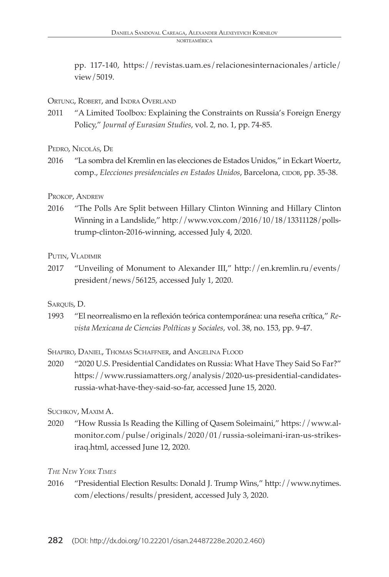pp. 117-140, https://revistas.uam.es/relacionesinternacionales/article/ view/5019.

#### ORTUNG, ROBERT, and INDRA OVERLAND

2011 "A Limited Toolbox: Explaining the Constraints on Russia's Foreign Energy Policy," *Journal of Eurasian Studies*, vol. 2, no. 1, pp. 74-85.

Pedro, Nicolás, De

2016 "La sombra del Kremlin en las elecciones de Estados Unidos," in Eckart Woertz, comp., *Elecciones presidenciales en Estados Unidos*, Barcelona, CIDOB, pp. 35-38.

#### Prokop, Andrew

2016 "The Polls Are Split between Hillary Clinton Winning and Hillary Clinton Winning in a Landslide," http://www.vox.com/2016/10/18/13311128/pollstrump-clinton-2016-winning, accessed July 4, 2020.

#### Putin, Vladimir

2017 "Unveiling of Monument to Alexander III," http://en.kremlin.ru/events/ president/news/56125, accessed July 1, 2020.

### SAROUÍS, D.

1993 "El neorrealismo en la reflexión teórica contemporánea: una reseña crítica," *Revista Mexicana de Ciencias Políticas y Sociales*, vol. 38, no. 153, pp. 9-47.

Shapiro, Daniel, Thomas Schaffner, and Angelina Flood

2020 "2020 U.S. Presidential Candidates on Russia: What Have They Said So Far?" https://www.russiamatters.org/analysis/2020-us-presidential-candidatesrussia-what-have-they-said-so-far, accessed June 15, 2020.

### Suchkov, Maxim A.

2020 "How Russia Is Reading the Killing of Qasem Soleimaini," https://www.almonitor.com/pulse/originals/2020/01/russia-soleimani-iran-us-strikesiraq.html, accessed June 12, 2020.

### *The New York Times*

2016 "Presidential Election Results: Donald J. Trump Wins," http://www.nytimes. com/elections/results/president, accessed July 3, 2020.